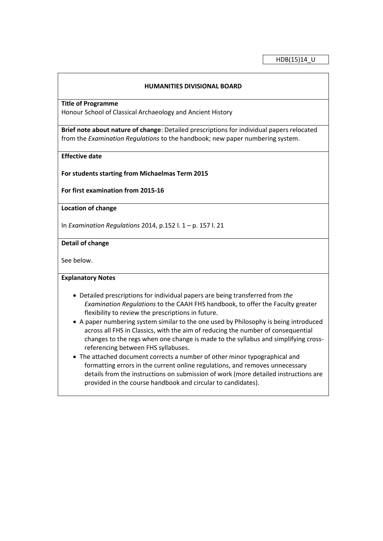## **HUMANITIES DIVISIONAL BOARD**

**Title of Programme**

Honour School of Classical Archaeology and Ancient History

**Brief note about nature of change**: Detailed prescriptions for individual papers relocated from the *Examination Regulations* to the handbook; new paper numbering system.

**Effective date**

**For students starting from Michaelmas Term 2015**

**For first examination from 2015-16**

**Location of change**

In *Examination Regulations* 2014, p.152 l. 1 – p. 157 l. 21

**Detail of change**

See below.

# **Explanatory Notes**

- Detailed prescriptions for individual papers are being transferred from *the Examination Regulations* to the CAAH FHS handbook, to offer the Faculty greater flexibility to review the prescriptions in future.
- A paper numbering system similar to the one used by Philosophy is being introduced across all FHS in Classics, with the aim of reducing the number of consequential changes to the regs when one change is made to the syllabus and simplifying crossreferencing between FHS syllabuses.
- The attached document corrects a number of other minor typographical and formatting errors in the current online regulations, and removes unnecessary details from the instructions on submission of work (more detailed instructions are provided in the course handbook and circular to candidates).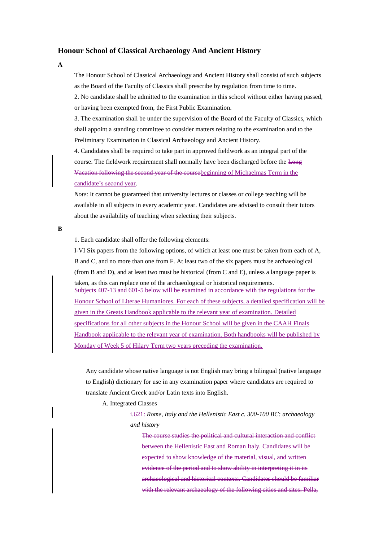## **Honour School of Classical Archaeology And Ancient History**

**A**

The Honour School of Classical Archaeology and Ancient History shall consist of such subjects as the Board of the Faculty of Classics shall prescribe by regulation from time to time.

2. No candidate shall be admitted to the examination in this school without either having passed, or having been exempted from, the First Public Examination.

3. The examination shall be under the supervision of the Board of the Faculty of Classics, which shall appoint a standing committee to consider matters relating to the examination and to the Preliminary Examination in Classical Archaeology and Ancient History.

4. Candidates shall be required to take part in approved fieldwork as an integral part of the course. The fieldwork requirement shall normally have been discharged before the Long Vacation following the second year of the coursebeginning of Michaelmas Term in the candidate's second year.

*Note*: It cannot be guaranteed that university lectures or classes or college teaching will be available in all subjects in every academic year. Candidates are advised to consult their tutors about the availability of teaching when selecting their subjects.

**B**

1. Each candidate shall offer the following elements:

I-VI Six papers from the following options, of which at least one must be taken from each of A, B and C, and no more than one from F. At least two of the six papers must be archaeological (from B and D), and at least two must be historical (from C and E), unless a language paper is taken, as this can replace one of the archaeological or historical requirements. Subjects 407-13 and 601-5 below will be examined in accordance with the regulations for the Honour School of Literae Humaniores. For each of these subjects, a detailed specification will be given in the Greats Handbook applicable to the relevant year of examination. Detailed specifications for all other subjects in the Honour School will be given in the CAAH Finals Handbook applicable to the relevant year of examination. Both handbooks will be published by Monday of Week 5 of Hilary Term two years preceding the examination.

Any candidate whose native language is not English may bring a bilingual (native language to English) dictionary for use in any examination paper where candidates are required to translate Ancient Greek and/or Latin texts into English.

A. Integrated Classes

i.621: *Rome, Italy and the Hellenistic East c. 300-100 BC: archaeology and history*

The course studies the political and cultural interaction and conflict between the Hellenistic East and Roman Italy. Candidates will be expected to show knowledge of the material, visual, and written evidence of the period and to show ability in interpreting it in its archaeological and historical contexts. Candidates should be familiar with the relevant archaeology of the following cities and sites: Pella,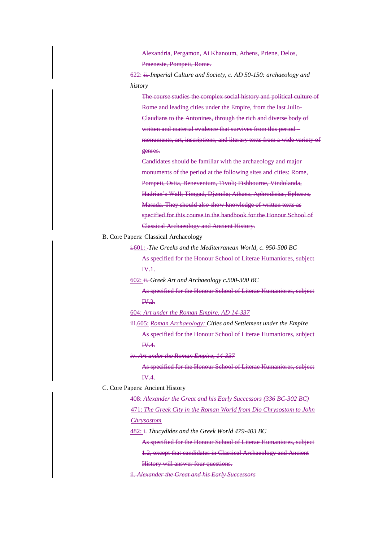Alexandria, Pergamon, Ai Khanoum, Athens, Priene, Delos, Praeneste, Pompeii, Rome.

622: ii. *Imperial Culture and Society, c. AD 50-150: archaeology and history*

The course studies the complex social history and political culture of Rome and leading cities under the Empire, from the last Julio-Claudians to the Antonines, through the rich and diverse body of written and material evidence that survives from this period – monuments, art, inscriptions, and literary texts from a wide variety of genres.

Candidates should be familiar with the archaeology and major monuments of the period at the following sites and cities: Rome, Pompeii, Ostia, Beneventum, Tivoli; Fishbourne, Vindolanda, Hadrian's Wall; Timgad, Djemila; Athens, Aphrodisias, Ephesos, Masada. They should also show knowledge of written texts as specified for this course in the handbook for the Honour School of Classical Archaeology and Ancient History.

B. Core Papers: Classical Archaeology

i.601: *The Greeks and the Mediterranean World, c. 950-500 BC* As specified for the Honour School of Literae Humaniores, subject IV.1.

602: ii. *Greek Art and Archaeology c.500-300 BC*

As specified for the Honour School of Literae Humaniores, subject  $W<sub>2</sub>$ 

604: *Art under the Roman Empire, AD 14-337*

iii.605: *Roman Archaeology: Cities and Settlement under the Empire* As specified for the Honour School of Literae Humaniores, subject IV.4.

iv. *Art under the Roman Empire, 14-337*

As specified for the Honour School of Literae Humaniores, subject IV.4.

C. Core Papers: Ancient History

408: *Alexander the Great and his Early Successors (336 BC-302 BC)* 471: *The Greek City in the Roman World from Dio Chrysostom to John Chrysostom*

482: i. *Thucydides and the Greek World 479-403 BC*

As specified for the Honour School of Literae Humaniores, subject

1.2, except that candidates in Classical Archaeology and Ancient

History will answer four questions.

ii. *Alexander the Great and his Early Successors*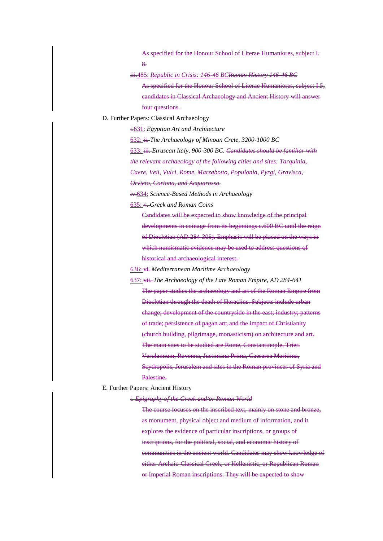As specified for the Honour School of Literae Humaniores, subject I. 8.

iii.485: *Republic in Crisis: 146-46 BCRoman History 146-46 BC* As specified for the Honour School of Literae Humaniores, subject I.5; candidates in Classical Archaeology and Ancient History will answer

four questions.

D. Further Papers: Classical Archaeology

i.631: *Egyptian Art and Architecture* 

632: ii. *The Archaeology of Minoan Crete, 3200-1000 BC*

633: iii. *Etruscan Italy, 900*‐*300 BC. Candidates should be familiar with* 

*the relevant archaeology of the following cities and sites: Tarquinia,* 

*Caere, Veii, Vulci, Rome, Marzabotto, Populonia, Pyrgi, Gravisca,* 

*Orvieto, Cortona, and Acquarossa.*

iv.634: *Science-Based Methods in Archaeology* 

635: v. *Greek and Roman Coins* 

Candidates will be expected to show knowledge of the principal developments in coinage from its beginnings c.600 BC until the reign of Diocletian (AD 284-305). Emphasis will be placed on the ways in which numismatic evidence may be used to address questions of historical and archaeological interest.

636: vi. *Mediterranean Maritime Archaeology* 

637: vii. *The Archaeology of the Late Roman Empire, AD 284-641*

The paper studies the archaeology and art of the Roman Empire from Diocletian through the death of Heraclius. Subjects include urban change; development of the countryside in the east; industry; patterns of trade; persistence of pagan art; and the impact of Christianity (church building, pilgrimage, monasticism) on architecture and art. The main sites to be studied are Rome, Constantinople, Trier, Verulamium, Ravenna, Justiniana Prima, Caesarea Maritima, Scythopolis, Jerusalem and sites in the Roman provinces of Syria and Palestine.

E. Further Papers: Ancient History

i. *Epigraphy of the Greek and/or Roman World* 

The course focuses on the inscribed text, mainly on stone and bronze, as monument, physical object and medium of information, and it explores the evidence of particular inscriptions, or groups of inscriptions, for the political, social, and economic history of communities in the ancient world. Candidates may show knowledge of either Archaic-Classical Greek, or Hellenistic, or Republican Roman or Imperial Roman inscriptions. They will be expected to show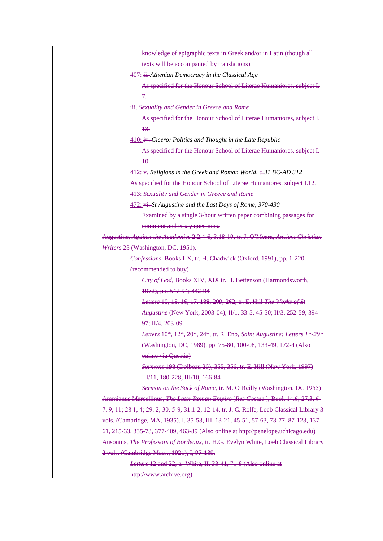knowledge of epigraphic texts in Greek and/or in Latin (though all texts will be accompanied by translations).

407: ii. *Athenian Democracy in the Classical Age* 

As specified for the Honour School of Literae Humaniores, subject I. 7.

iii. *Sexuality and Gender in Greece and Rome* 

As specified for the Honour School of Literae Humaniores, subject I. 13.

410: iv. *Cicero: Politics and Thought in the Late Republic* 

As specified for the Honour School of Literae Humaniores, subject I.  $\overline{10}$ .

412: v. *Religions in the Greek and Roman World, c.31 BC-AD 312* 

As specified for the Honour School of Literae Humaniores, subject I.12.

413: *Sexuality and Gender in Greece and Rome* 

472: vi. *St Augustine and the Last Days of Rome, 370-430*

Examined by a single 3-hour written paper combining passages for

comment and essay questions.

Augustine, *Against the Academics* 2.2.4-6, 3.18-19, tr. J. O'Meara, *Ancient Christian Writers* 23 (Washington, DC, 1951).

> *Confessions*, Books I-X, tr. H. Chadwick (Oxford, 1991), pp. 1-220 (recommended to buy)

*City of God*, Books XIV, XIX tr. H. Bettenson (Harmondsworth, 1972), pp. 547-94; 842-94

*Letters* 10, 15, 16, 17, 188, 209, 262, tr. E. Hill *The Works of St Augustine* (New York, 2003-04), II/1, 33-5, 45-50; II/3, 252-59, 394- 97; II/4, 203-09

*Letters* 10\*, 12\*, 20\*, 24\*, tr. R. Eno, *Saint Augustine: Letters 1\*-29\** (Washington, DC, 1989), pp. 75-80, 100-08, 133-49, 172-4 (Also online via Questia)

*Sermons* 198 (Dolbeau 26), 355, 356, tr. E. Hill (New York, 1997) III/11, 180-228, III/10, 166-84

*Sermon on the Sack of Rome*, tr. M. O'Reilly (Washington, DC 1955) Ammianus Marcellinus, *The Later Roman Empire* [*Res Gestae* ], Book 14.6; 27.3, 6- 7, 9, 11; 28.1, 4; 29. 2; 30. 5-9, 31.1-2, 12-14, tr. J. C. Rolfe, Loeb Classical Library 3 vols. (Cambridge, MA, 1935). I, 35-53, III, 13-21, 45-51, 57-63, 73-77, 87-123, 137- 61, 215-33, 335-73, 377-409, 463-89 (Also online at http://penelope.uchicago.edu) Ausonius, *The Professors of Bordeaux*, tr. H.G. Evelyn White, Loeb Classical Library 2 vols. (Cambridge Mass., 1921), I, 97-139.

> *Letters* 12 and 22, tr. White, II, 33-41, 71-8 (Also online at http://www.archive.org)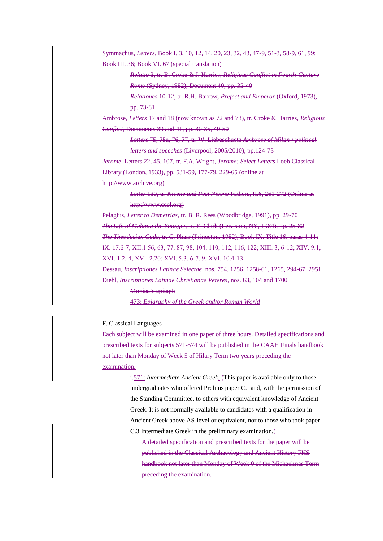Symmachus, *Letters*, Book I. 3, 10, 12, 14, 20, 23, 32, 43, 47-9, 51-3, 58-9, 61, 99; Book III. 36; Book VI. 67 (special translation)

> *Relatio* 3, tr. B. Croke & J. Harries, *Religious Conflict in Fourth-Century Rome* (Sydney, 1982), Document 40, pp. 35-40

> *Relationes* 10-12, tr. R.H. Barrow, *Prefect and Emperor* (Oxford, 1973), pp. 73-81

Ambrose, *Letters* 17 and 18 (now known as 72 and 73), tr. Croke & Harries, *Religious Conflict*, Documents 39 and 41, pp. 30-35, 40-50

> *Letters* 75, 75a, 76, 77, tr. W. Liebeschuetz *Ambrose of Milan : political letters and speeches* (Liverpool, 2005/2010), pp.124-73

*Jerome*, Letters 22, 45, 107, tr. F.A. Wright, *Jerome: Select Letters* Loeb Classical Library (London, 1933), pp. 531-59, 177-79, 229-65 (online at

http://www.archive.org)

*Letter* 130, tr. *Nicene and Post Nicene* Fathers, II.6, 261-272 (Online at http://www.ccel.org)

Pelagius, *Letter to Demetrias*, tr. B. R. Rees (Woodbridge, 1991), pp. 29-70 *The Life of Melania the Younger*, tr. E. Clark (Lewiston, NY, 1984), pp. 25-82 *The Theodosian Code*, tr. C. Pharr (Princeton, 1952), Book IX. Title 16. paras 4-11; IX. 17.6-7; XII.1 56, 63, 77, 87, 98, 104, 110, 112, 116, 122; XIII. 3, 6-12; XIV. 9.1; XVI. 1.2, 4; XVI. 2.20; XVI. 5.3, 6-7, 9; XVI. 10.4-13

Dessau, *Inscriptiones Latinae Selectae*, nos. 754, 1256, 1258-61, 1265, 294-67, 2951 Diehl, *Inscriptiones Latinae Christianae Veteres*, nos. 63, 104 and 1700

> Monica's epitaph 473: *Epigraphy of the Greek and/or Roman World*

### F. Classical Languages

Each subject will be examined in one paper of three hours. Detailed specifications and prescribed texts for subjects 571-574 will be published in the CAAH Finals handbook not later than Monday of Week 5 of Hilary Term two years preceding the examination.

> i.571: *Intermediate Ancient Greek.* (This paper is available only to those undergraduates who offered Prelims paper C.I and, with the permission of the Standing Committee, to others with equivalent knowledge of Ancient Greek. It is not normally available to candidates with a qualification in Ancient Greek above AS-level or equivalent, nor to those who took paper C.3 Intermediate Greek in the preliminary examination.)

A detailed specification and prescribed texts for the paper will be published in the Classical Archaeology and Ancient History FHS handbook not later than Monday of Week 0 of the Michaelmas Term preceding the examination.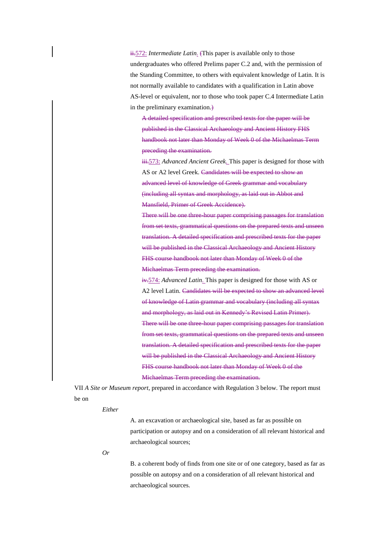ii.572: *Intermediate Latin.* (This paper is available only to those undergraduates who offered Prelims paper C.2 and, with the permission of the Standing Committee, to others with equivalent knowledge of Latin. It is not normally available to candidates with a qualification in Latin above AS-level or equivalent, nor to those who took paper C.4 Intermediate Latin in the preliminary examination.)

A detailed specification and prescribed texts for the paper will be published in the Classical Archaeology and Ancient History FHS handbook not later than Monday of Week 0 of the Michaelmas Term preceding the examination.

iii.573: *Advanced Ancient Greek.* This paper is designed for those with AS or A2 level Greek. Candidates will be expected to show an advanced level of knowledge of Greek grammar and vocabulary (including all syntax and morphology, as laid out in Abbot and Mansfield, Primer of Greek Accidence).

There will be one three-hour paper comprising passages for translation from set texts, grammatical questions on the prepared texts and unseen translation. A detailed specification and prescribed texts for the paper will be published in the Classical Archaeology and Ancient History FHS course handbook not later than Monday of Week 0 of the Michaelmas Term preceding the examination.

iv.574: *Advanced Latin.* This paper is designed for those with AS or A2 level Latin. Candidates will be expected to show an advanced level of knowledge of Latin grammar and vocabulary (including all syntax and morphology, as laid out in Kennedy's Revised Latin Primer). There will be one three-hour paper comprising passages for translation from set texts, grammatical questions on the prepared texts and unseen translation. A detailed specification and prescribed texts for the paper will be published in the Classical Archaeology and Ancient History FHS course handbook not later than Monday of Week 0 of the Michaelmas Term preceding the examination.

VII *A Site or Museum report*, prepared in accordance with Regulation 3 below. The report must be on

#### *Either*

A. an excavation or archaeological site, based as far as possible on participation or autopsy and on a consideration of all relevant historical and archaeological sources;

### *Or*

B. a coherent body of finds from one site or of one category, based as far as possible on autopsy and on a consideration of all relevant historical and archaeological sources.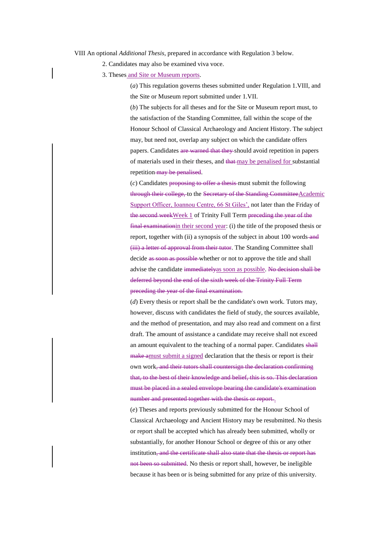VIII An optional *Additional Thesis*, prepared in accordance with Regulation 3 below.

2. Candidates may also be examined viva voce.

3. Theses and Site or Museum reports.

(*a*) This regulation governs theses submitted under Regulation 1.VIII, and the Site or Museum report submitted under 1.VII.

(*b*) The subjects for all theses and for the Site or Museum report must, to the satisfaction of the Standing Committee, fall within the scope of the Honour School of Classical Archaeology and Ancient History. The subject may, but need not, overlap any subject on which the candidate offers papers. Candidates are warned that they should avoid repetition in papers of materials used in their theses, and that may be penalised for substantial repetition-may be penalised.

(*c*) Candidates proposing to offer a thesis must submit the following through their college, to the Secretary of the Standing CommitteeAcademic Support Officer, Ioannou Centre, 66 St Giles', not later than the Friday of the second weekWeek 1 of Trinity Full Term preceding the year of the final examinationin their second year: (i) the title of the proposed thesis or report, together with (ii) a synopsis of the subject in about 100 words-and (iii) a letter of approval from their tutor. The Standing Committee shall decide as soon as possible-whether or not to approve the title and shall advise the candidate immediatelyas soon as possible. No decision shall be deferred beyond the end of the sixth week of the Trinity Full Term preceding the year of the final examination.

(*d*) Every thesis or report shall be the candidate's own work. Tutors may, however, discuss with candidates the field of study, the sources available, and the method of presentation, and may also read and comment on a first draft. The amount of assistance a candidate may receive shall not exceed an amount equivalent to the teaching of a normal paper. Candidates shall make amust submit a signed declaration that the thesis or report is their own work, and their tutors shall countersign the declaration confirming that, to the best of their knowledge and belief, this is so. This declaration must be placed in a sealed envelope bearing the candidate's examination number and presented together with the thesis or report..

(*e*) Theses and reports previously submitted for the Honour School of Classical Archaeology and Ancient History may be resubmitted. No thesis or report shall be accepted which has already been submitted, wholly or substantially, for another Honour School or degree of this or any other institution, and the certificate shall also state that the thesis or report has not been so submitted. No thesis or report shall, however, be ineligible because it has been or is being submitted for any prize of this university.